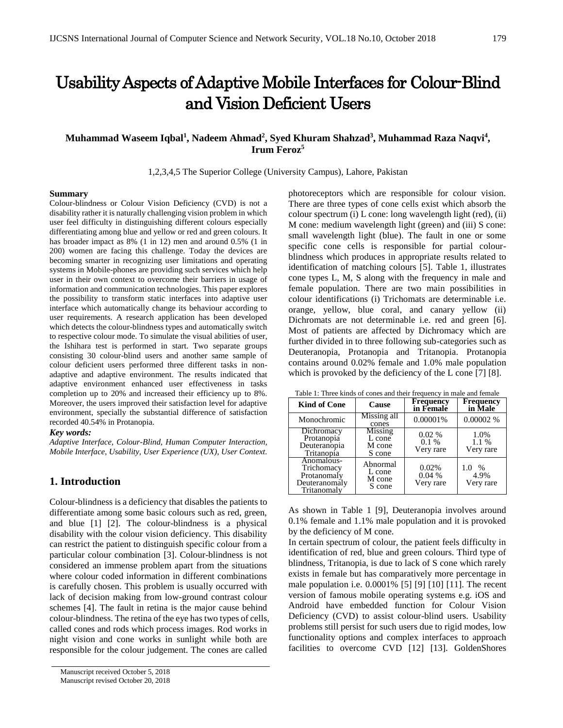# Usability Aspects of Adaptive Mobile Interfaces for Colour-Blind and Vision Deficient Users

# **Muhammad Waseem Iqbal<sup>1</sup> , Nadeem Ahmad<sup>2</sup> , Syed Khuram Shahzad<sup>3</sup> , Muhammad Raza Naqvi<sup>4</sup> , Irum Feroz<sup>5</sup>**

1,2,3,4,5 The Superior College (University Campus), Lahore, Pakistan

#### **Summary**

Colour-blindness or Colour Vision Deficiency (CVD) is not a disability rather it is naturally challenging vision problem in which user feel difficulty in distinguishing different colours especially differentiating among blue and yellow or red and green colours. It has broader impact as 8% (1 in 12) men and around 0.5% (1 in 200) women are facing this challenge. Today the devices are becoming smarter in recognizing user limitations and operating systems in Mobile-phones are providing such services which help user in their own context to overcome their barriers in usage of information and communication technologies. This paper explores the possibility to transform static interfaces into adaptive user interface which automatically change its behaviour according to user requirements. A research application has been developed which detects the colour-blindness types and automatically switch to respective colour mode. To simulate the visual abilities of user, the Ishihara test is performed in start. Two separate groups consisting 30 colour-blind users and another same sample of colour deficient users performed three different tasks in nonadaptive and adaptive environment. The results indicated that adaptive environment enhanced user effectiveness in tasks completion up to 20% and increased their efficiency up to 8%. Moreover, the users improved their satisfaction level for adaptive environment, specially the substantial difference of satisfaction recorded 40.54% in Protanopia.

#### *Key words:*

*Adaptive Interface, Colour-Blind, Human Computer Interaction, Mobile Interface, Usability, User Experience (UX), User Context.*

# **1. Introduction**

Colour-blindness is a deficiency that disables the patients to differentiate among some basic colours such as red, green, and blue [1] [2]. The colour-blindness is a physical disability with the colour vision deficiency. This disability can restrict the patient to distinguish specific colour from a particular colour combination [3]. Colour-blindness is not considered an immense problem apart from the situations where colour coded information in different combinations is carefully chosen. This problem is usually occurred with lack of decision making from low-ground contrast colour schemes [4]. The fault in retina is the major cause behind colour-blindness. The retina of the eye has two types of cells, called cones and rods which process images. Rod works in night vision and cone works in sunlight while both are responsible for the colour judgement. The cones are called

photoreceptors which are responsible for colour vision. There are three types of cone cells exist which absorb the colour spectrum (i) L cone: long wavelength light (red), (ii) M cone: medium wavelength light (green) and (iii) S cone: small wavelength light (blue). The fault in one or some specific cone cells is responsible for partial colourblindness which produces in appropriate results related to identification of matching colours [5]. Table 1, illustrates cone types L, M, S along with the frequency in male and female population. There are two main possibilities in colour identifications (i) Trichomats are determinable i.e. orange, yellow, blue coral, and canary yellow (ii) Dichromats are not determinable i.e. red and green [6]. Most of patients are affected by Dichromacy which are further divided in to three following sub-categories such as Deuteranopia, Protanopia and Tritanopia. Protanopia contains around 0.02% female and 1.0% male population which is provoked by the deficiency of the L cone [7] [8].

Table 1: Three kinds of cones and their frequency in male and female

| <b>Kind of Cone</b>                                                     | Cause                                        | <b>Frequency</b><br>in Female    | <b>Frequency</b><br>in Male      |
|-------------------------------------------------------------------------|----------------------------------------------|----------------------------------|----------------------------------|
| Monochromic                                                             | Missing all<br>cones                         | 0.00001%                         | 0.00002%                         |
| Dichromacy<br>Protanopia<br>Deuteranopia<br>Tritanopia                  | <b>Missing</b><br>L cone<br>M cone<br>S cone | $0.02\%$<br>$0.1\%$<br>Very rare | 1.0%<br>1.1%<br>Very rare        |
| Anomalous-<br>Trichomacy<br>Protanomaly<br>Deuteranomaly<br>Tritanomaly | Abnormal<br>L cone<br>M cone<br>S cone       | 0.02%<br>0.04%<br>Very rare      | $\%$<br>1.0<br>4.9%<br>Very rare |

As shown in Table 1 [9], Deuteranopia involves around 0.1% female and 1.1% male population and it is provoked by the deficiency of M cone.

In certain spectrum of colour, the patient feels difficulty in identification of red, blue and green colours. Third type of blindness, Tritanopia, is due to lack of S cone which rarely exists in female but has comparatively more percentage in male population i.e. 0.0001% [5] [9] [10] [11]. The recent version of famous mobile operating systems e.g. iOS and Android have embedded function for Colour Vision Deficiency (CVD) to assist colour-blind users. Usability problems still persist for such users due to rigid modes, low functionality options and complex interfaces to approach facilities to overcome CVD [12] [13]. GoldenShores

Manuscript received October 5, 2018 Manuscript revised October 20, 2018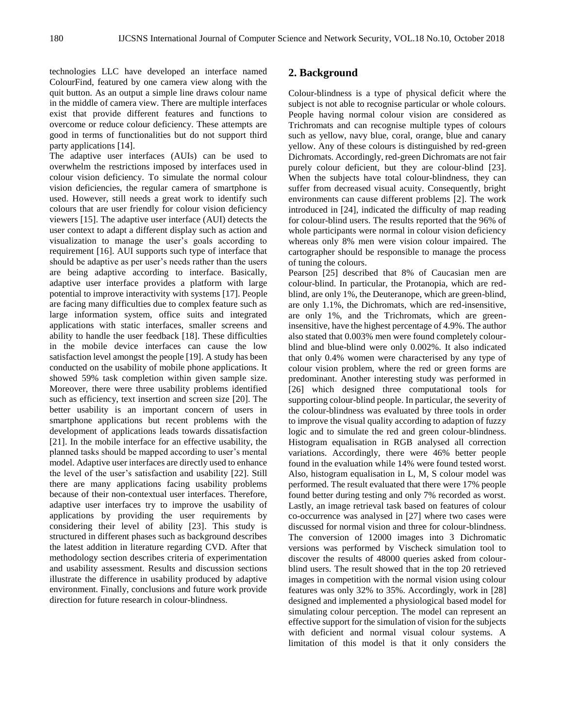technologies LLC have developed an interface named ColourFind, featured by one camera view along with the quit button. As an output a simple line draws colour name in the middle of camera view. There are multiple interfaces exist that provide different features and functions to overcome or reduce colour deficiency. These attempts are good in terms of functionalities but do not support third party applications [14].

The adaptive user interfaces (AUIs) can be used to overwhelm the restrictions imposed by interfaces used in colour vision deficiency. To simulate the normal colour vision deficiencies, the regular camera of smartphone is used. However, still needs a great work to identify such colours that are user friendly for colour vision deficiency viewers [15]. The adaptive user interface (AUI) detects the user context to adapt a different display such as action and visualization to manage the user's goals according to requirement [16]. AUI supports such type of interface that should be adaptive as per user's needs rather than the users are being adaptive according to interface. Basically, adaptive user interface provides a platform with large potential to improve interactivity with systems [17]. People are facing many difficulties due to complex feature such as large information system, office suits and integrated applications with static interfaces, smaller screens and ability to handle the user feedback [18]. These difficulties in the mobile device interfaces can cause the low satisfaction level amongst the people [19]. A study has been conducted on the usability of mobile phone applications. It showed 59% task completion within given sample size. Moreover, there were three usability problems identified such as efficiency, text insertion and screen size [20]. The better usability is an important concern of users in smartphone applications but recent problems with the development of applications leads towards dissatisfaction [21]. In the mobile interface for an effective usability, the planned tasks should be mapped according to user's mental model. Adaptive user interfaces are directly used to enhance the level of the user's satisfaction and usability [22]. Still there are many applications facing usability problems because of their non-contextual user interfaces. Therefore, adaptive user interfaces try to improve the usability of applications by providing the user requirements by considering their level of ability [23]. This study is structured in different phases such as background describes the latest addition in literature regarding CVD. After that methodology section describes criteria of experimentation and usability assessment. Results and discussion sections illustrate the difference in usability produced by adaptive environment. Finally, conclusions and future work provide direction for future research in colour-blindness.

## **2. Background**

Colour-blindness is a type of physical deficit where the subject is not able to recognise particular or whole colours. People having normal colour vision are considered as Trichromats and can recognise multiple types of colours such as yellow, navy blue, coral, orange, blue and canary yellow. Any of these colours is distinguished by red-green Dichromats. Accordingly, red-green Dichromats are not fair purely colour deficient, but they are colour-blind [23]. When the subjects have total colour-blindness, they can suffer from decreased visual acuity. Consequently, bright environments can cause different problems [2]. The work introduced in [24], indicated the difficulty of map reading for colour-blind users. The results reported that the 96% of whole participants were normal in colour vision deficiency whereas only 8% men were vision colour impaired. The cartographer should be responsible to manage the process of tuning the colours.

Pearson [25] described that 8% of Caucasian men are colour-blind. In particular, the Protanopia, which are redblind, are only 1%, the Deuteranope, which are green-blind, are only 1.1%, the Dichromats, which are red-insensitive, are only 1%, and the Trichromats, which are greeninsensitive, have the highest percentage of 4.9%. The author also stated that 0.003% men were found completely colourblind and blue-blind were only 0.002%. It also indicated that only 0.4% women were characterised by any type of colour vision problem, where the red or green forms are predominant. Another interesting study was performed in [26] which designed three computational tools for supporting colour-blind people. In particular, the severity of the colour-blindness was evaluated by three tools in order to improve the visual quality according to adaption of fuzzy logic and to simulate the red and green colour-blindness. Histogram equalisation in RGB analysed all correction variations. Accordingly, there were 46% better people found in the evaluation while 14% were found tested worst. Also, histogram equalisation in L, M, S colour model was performed. The result evaluated that there were 17% people found better during testing and only 7% recorded as worst. Lastly, an image retrieval task based on features of colour co-occurrence was analysed in [27] where two cases were discussed for normal vision and three for colour-blindness. The conversion of 12000 images into 3 Dichromatic versions was performed by Vischeck simulation tool to discover the results of 48000 queries asked from colourblind users. The result showed that in the top 20 retrieved images in competition with the normal vision using colour features was only 32% to 35%. Accordingly, work in [28] designed and implemented a physiological based model for simulating colour perception. The model can represent an effective support for the simulation of vision for the subjects with deficient and normal visual colour systems. A limitation of this model is that it only considers the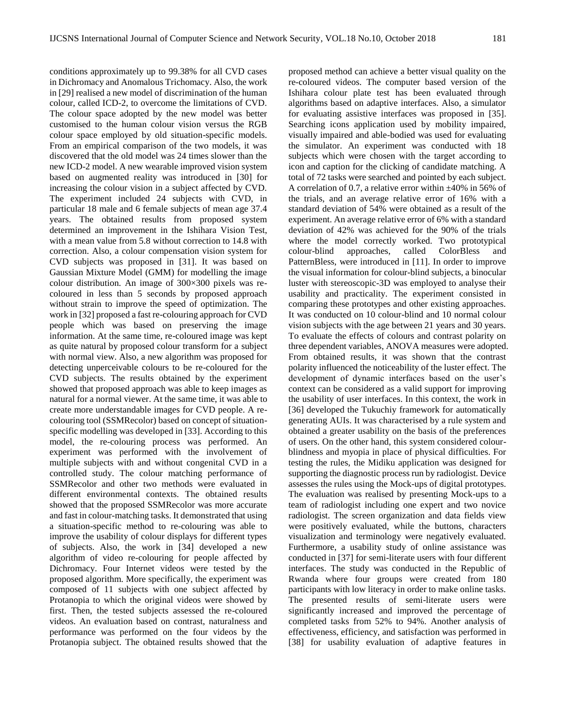conditions approximately up to 99.38% for all CVD cases in Dichromacy and Anomalous Trichomacy. Also, the work in [29] realised a new model of discrimination of the human colour, called ICD-2, to overcome the limitations of CVD. The colour space adopted by the new model was better customised to the human colour vision versus the RGB colour space employed by old situation-specific models. From an empirical comparison of the two models, it was discovered that the old model was 24 times slower than the new ICD-2 model. A new wearable improved vision system based on augmented reality was introduced in [30] for increasing the colour vision in a subject affected by CVD. The experiment included 24 subjects with CVD, in particular 18 male and 6 female subjects of mean age 37.4 years. The obtained results from proposed system determined an improvement in the Ishihara Vision Test, with a mean value from 5.8 without correction to 14.8 with correction. Also, a colour compensation vision system for CVD subjects was proposed in [31]. It was based on Gaussian Mixture Model (GMM) for modelling the image colour distribution. An image of 300×300 pixels was recoloured in less than 5 seconds by proposed approach without strain to improve the speed of optimization. The work in [32] proposed a fast re-colouring approach for CVD people which was based on preserving the image information. At the same time, re-coloured image was kept as quite natural by proposed colour transform for a subject with normal view. Also, a new algorithm was proposed for detecting unperceivable colours to be re-coloured for the CVD subjects. The results obtained by the experiment showed that proposed approach was able to keep images as natural for a normal viewer. At the same time, it was able to create more understandable images for CVD people. A recolouring tool (SSMRecolor) based on concept of situationspecific modelling was developed in [33]. According to this model, the re-colouring process was performed. An experiment was performed with the involvement of multiple subjects with and without congenital CVD in a controlled study. The colour matching performance of SSMRecolor and other two methods were evaluated in different environmental contexts. The obtained results showed that the proposed SSMRecolor was more accurate and fast in colour-matching tasks. It demonstrated that using a situation-specific method to re-colouring was able to improve the usability of colour displays for different types of subjects. Also, the work in [34] developed a new algorithm of video re-colouring for people affected by Dichromacy. Four Internet videos were tested by the proposed algorithm. More specifically, the experiment was composed of 11 subjects with one subject affected by Protanopia to which the original videos were showed by first. Then, the tested subjects assessed the re-coloured videos. An evaluation based on contrast, naturalness and performance was performed on the four videos by the Protanopia subject. The obtained results showed that the

proposed method can achieve a better visual quality on the re-coloured videos. The computer based version of the Ishihara colour plate test has been evaluated through algorithms based on adaptive interfaces. Also, a simulator for evaluating assistive interfaces was proposed in [35]. Searching icons application used by mobility impaired, visually impaired and able-bodied was used for evaluating the simulator. An experiment was conducted with 18 subjects which were chosen with the target according to icon and caption for the clicking of candidate matching. A total of 72 tasks were searched and pointed by each subject. A correlation of 0.7, a relative error within  $\pm 40\%$  in 56% of the trials, and an average relative error of 16% with a standard deviation of 54% were obtained as a result of the experiment. An average relative error of 6% with a standard deviation of 42% was achieved for the 90% of the trials where the model correctly worked. Two prototypical colour-blind approaches, called ColorBless and PatternBless, were introduced in [11]. In order to improve the visual information for colour-blind subjects, a binocular luster with stereoscopic-3D was employed to analyse their usability and practicality. The experiment consisted in comparing these prototypes and other existing approaches. It was conducted on 10 colour-blind and 10 normal colour vision subjects with the age between 21 years and 30 years. To evaluate the effects of colours and contrast polarity on three dependent variables, ANOVA measures were adopted. From obtained results, it was shown that the contrast polarity influenced the noticeability of the luster effect. The development of dynamic interfaces based on the user's context can be considered as a valid support for improving the usability of user interfaces. In this context, the work in [36] developed the Tukuchiy framework for automatically generating AUIs. It was characterised by a rule system and obtained a greater usability on the basis of the preferences of users. On the other hand, this system considered colourblindness and myopia in place of physical difficulties. For testing the rules, the Midiku application was designed for supporting the diagnostic process run by radiologist. Device assesses the rules using the Mock-ups of digital prototypes. The evaluation was realised by presenting Mock-ups to a team of radiologist including one expert and two novice radiologist. The screen organization and data fields view were positively evaluated, while the buttons, characters visualization and terminology were negatively evaluated. Furthermore, a usability study of online assistance was conducted in [37] for semi-literate users with four different interfaces. The study was conducted in the Republic of Rwanda where four groups were created from 180 participants with low literacy in order to make online tasks. The presented results of semi-literate users were significantly increased and improved the percentage of completed tasks from 52% to 94%. Another analysis of effectiveness, efficiency, and satisfaction was performed in [38] for usability evaluation of adaptive features in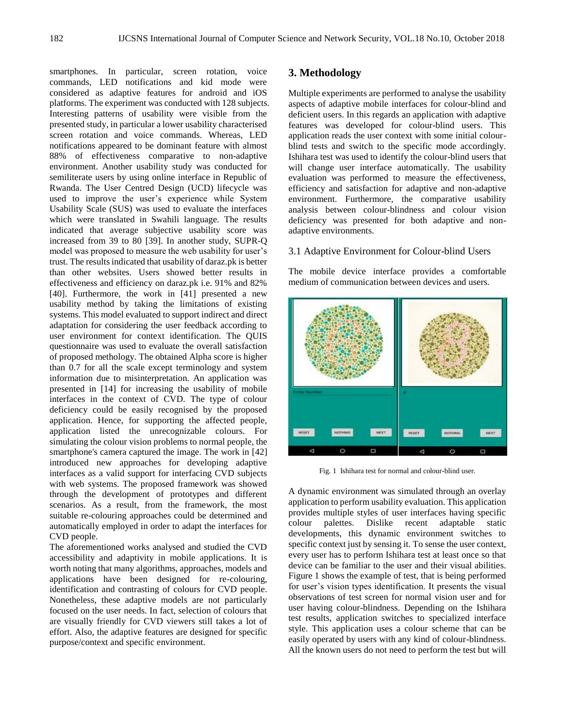smartphones. In particular, screen rotation, voice commands, LED notifications and kid mode were considered as adaptive features for android and iOS platforms. The experiment was conducted with 128 subjects. Interesting patterns of usability were visible from the presented study, in particular a lower usability characterised screen rotation and voice commands. Whereas, LED notifications appeared to be dominant feature with almost 88% of effectiveness comparative to non-adaptive environment. Another usability study was conducted for semiliterate users by using online interface in Republic of Rwanda. The User Centred Design (UCD) lifecycle was used to improve the user's experience while System Usability Scale (SUS) was used to evaluate the interfaces which were translated in Swahili language. The results indicated that average subjective usability score was increased from 39 to 80 [39]. In another study, SUPR-Q model was proposed to measure the web usability for user's trust. The results indicated that usability of daraz.pk is better than other websites. Users showed better results in effectiveness and efficiency on daraz.pk i.e. 91% and 82% [40]. Furthermore, the work in [41] presented a new usability method by taking the limitations of existing systems. This model evaluated to support indirect and direct adaptation for considering the user feedback according to user environment for context identification. The QUIS questionnaire was used to evaluate the overall satisfaction of proposed methology. The obtained Alpha score is higher than 0.7 for all the scale except terminology and system information due to misinterpretation. An application was presented in [14] for increasing the usability of mobile interfaces in the context of CVD. The type of colour deficiency could be easily recognised by the proposed application. Hence, for supporting the affected people, application listed the unrecognizable colours. For simulating the colour vision problems to normal people, the smartphone's camera captured the image. The work in [42] introduced new approaches for developing adaptive interfaces as a valid support for interfacing CVD subjects with web systems. The proposed framework was showed through the development of prototypes and different scenarios. As a result, from the framework, the most suitable re-colouring approaches could be determined and automatically employed in order to adapt the interfaces for CVD people.

The aforementioned works analysed and studied the CVD accessibility and adaptivity in mobile applications. It is worth noting that many algorithms, approaches, models and applications have been designed for re-colouring, identification and contrasting of colours for CVD people. Nonetheless, these adaptive models are not particularly focused on the user needs. In fact, selection of colours that are visually friendly for CVD viewers still takes a lot of effort. Also, the adaptive features are designed for specific purpose/context and specific environment.

## **3. Methodology**

Multiple experiments are performed to analyse the usability aspects of adaptive mobile interfaces for colour-blind and deficient users. In this regards an application with adaptive features was developed for colour-blind users. This application reads the user context with some initial colourblind tests and switch to the specific mode accordingly. Ishihara test was used to identify the colour-blind users that will change user interface automatically. The usability evaluation was performed to measure the effectiveness, efficiency and satisfaction for adaptive and non-adaptive environment. Furthermore, the comparative usability analysis between colour-blindness and colour vision deficiency was presented for both adaptive and nonadaptive environments.

## 3.1 Adaptive Environment for Colour-blind Users

The mobile device interface provides a comfortable medium of communication between devices and users.



Fig. 1 Ishihara test for normal and colour-blind user.

A dynamic environment was simulated through an overlay application to perform usability evaluation. This application provides multiple styles of user interfaces having specific colour palettes. Dislike recent adaptable static developments, this dynamic environment switches to specific context just by sensing it. To sense the user context, every user has to perform Ishihara test at least once so that device can be familiar to the user and their visual abilities. Figure 1 shows the example of test, that is being performed for user's vision types identification. It presents the visual observations of test screen for normal vision user and for user having colour-blindness. Depending on the Ishihara test results, application switches to specialized interface style. This application uses a colour scheme that can be easily operated by users with any kind of colour-blindness. All the known users do not need to perform the test but will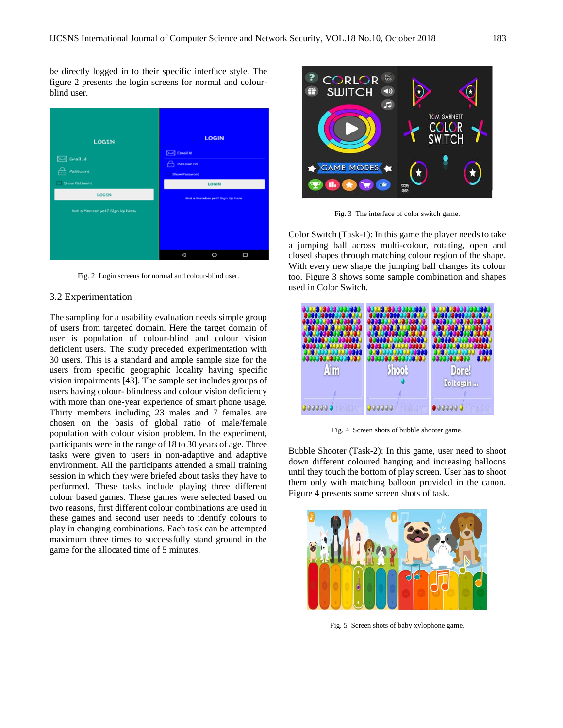be directly logged in to their specific interface style. The figure 2 presents the login screens for normal and colourblind user.



Fig. 2 Login screens for normal and colour-blind user.

## 3.2 Experimentation

The sampling for a usability evaluation needs simple group of users from targeted domain. Here the target domain of user is population of colour-blind and colour vision deficient users. The study preceded experimentation with 30 users. This is a standard and ample sample size for the users from specific geographic locality having specific vision impairments [43]. The sample set includes groups of users having colour- blindness and colour vision deficiency with more than one-year experience of smart phone usage. Thirty members including 23 males and 7 females are chosen on the basis of global ratio of male/female population with colour vision problem. In the experiment, participants were in the range of 18 to 30 years of age. Three tasks were given to users in non-adaptive and adaptive environment. All the participants attended a small training session in which they were briefed about tasks they have to performed. These tasks include playing three different colour based games. These games were selected based on two reasons, first different colour combinations are used in these games and second user needs to identify colours to play in changing combinations. Each task can be attempted maximum three times to successfully stand ground in the game for the allocated time of 5 minutes.



Fig. 3 The interface of color switch game.

Color Switch (Task-1): In this game the player needs to take a jumping ball across multi-colour, rotating, open and closed shapes through matching colour region of the shape. With every new shape the jumping ball changes its colour too. Figure 3 shows some sample combination and shapes used in Color Switch.



Fig. 4 Screen shots of bubble shooter game.

Bubble Shooter (Task-2): In this game, user need to shoot down different coloured hanging and increasing balloons until they touch the bottom of play screen. User has to shoot them only with matching balloon provided in the canon. Figure 4 presents some screen shots of task.



Fig. 5 Screen shots of baby xylophone game.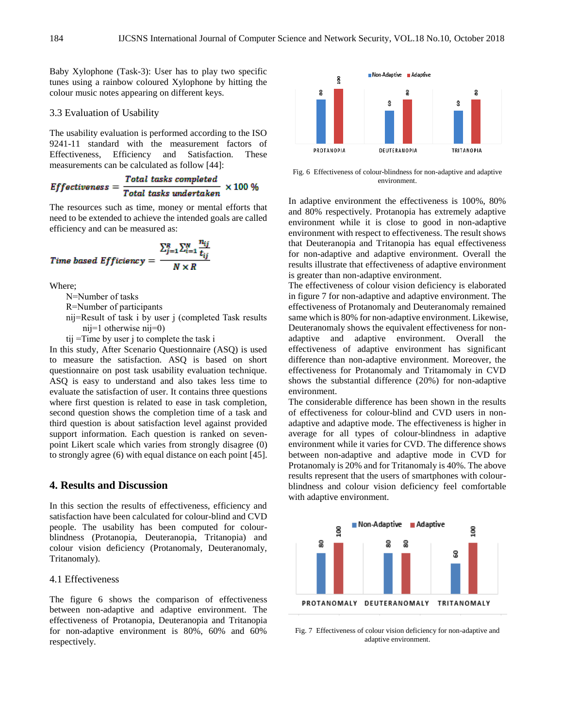Baby Xylophone (Task-3): User has to play two specific tunes using a rainbow coloured Xylophone by hitting the colour music notes appearing on different keys.

#### 3.3 Evaluation of Usability

The usability evaluation is performed according to the ISO 9241-11 standard with the measurement factors of Effectiveness, Efficiency and Satisfaction. These measurements can be calculated as follow [44]:

*Effectiveness* = 
$$
\frac{Total tasks completed}{Total tasks undertaken} \times 100 %
$$

The resources such as time, money or mental efforts that need to be extended to achieve the intended goals are called efficiency and can be measured as:

$$
Time based Efficiency = \frac{\sum_{j=1}^{R} \sum_{i=1}^{N} \frac{n_{ij}}{t_{ij}}}{N \times R}
$$

Where;

N=Number of tasks

R=Number of participants

- nij=Result of task i by user j (completed Task results nij=1 otherwise nij=0)
- tij =Time by user j to complete the task i

In this study, After Scenario Questionnaire (ASQ) is used to measure the satisfaction. ASQ is based on short questionnaire on post task usability evaluation technique. ASQ is easy to understand and also takes less time to evaluate the satisfaction of user. It contains three questions where first question is related to ease in task completion, second question shows the completion time of a task and third question is about satisfaction level against provided support information. Each question is ranked on sevenpoint Likert scale which varies from strongly disagree (0) to strongly agree (6) with equal distance on each point [45].

# **4. Results and Discussion**

In this section the results of effectiveness, efficiency and satisfaction have been calculated for colour-blind and CVD people. The usability has been computed for colourblindness (Protanopia, Deuteranopia, Tritanopia) and colour vision deficiency (Protanomaly, Deuteranomaly, Tritanomaly).

#### 4.1 Effectiveness

The figure 6 shows the comparison of effectiveness between non-adaptive and adaptive environment. The effectiveness of Protanopia, Deuteranopia and Tritanopia for non-adaptive environment is 80%, 60% and 60% respectively.



Fig. 6 Effectiveness of colour-blindness for non-adaptive and adaptive environment.

In adaptive environment the effectiveness is 100%, 80% and 80% respectively. Protanopia has extremely adaptive environment while it is close to good in non-adaptive environment with respect to effectiveness. The result shows that Deuteranopia and Tritanopia has equal effectiveness for non-adaptive and adaptive environment. Overall the results illustrate that effectiveness of adaptive environment is greater than non-adaptive environment.

The effectiveness of colour vision deficiency is elaborated in figure 7 for non-adaptive and adaptive environment. The effectiveness of Protanomaly and Deuteranomaly remained same which is 80% for non-adaptive environment. Likewise, Deuteranomaly shows the equivalent effectiveness for nonadaptive and adaptive environment. Overall the effectiveness of adaptive environment has significant difference than non-adaptive environment. Moreover, the effectiveness for Protanomaly and Tritamomaly in CVD shows the substantial difference (20%) for non-adaptive environment.

The considerable difference has been shown in the results of effectiveness for colour-blind and CVD users in nonadaptive and adaptive mode. The effectiveness is higher in average for all types of colour-blindness in adaptive environment while it varies for CVD. The difference shows between non-adaptive and adaptive mode in CVD for Protanomaly is 20% and for Tritanomaly is 40%. The above results represent that the users of smartphones with colourblindness and colour vision deficiency feel comfortable with adaptive environment.



Fig. 7 Effectiveness of colour vision deficiency for non-adaptive and adaptive environment.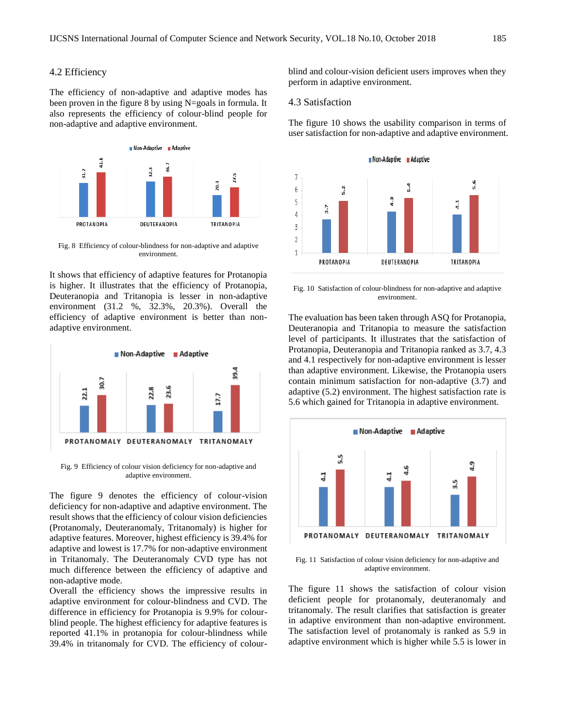#### 4.2 Efficiency

The efficiency of non-adaptive and adaptive modes has been proven in the figure 8 by using N=goals in formula. It also represents the efficiency of colour-blind people for non-adaptive and adaptive environment.



Fig. 8 Efficiency of colour-blindness for non-adaptive and adaptive environment.

It shows that efficiency of adaptive features for Protanopia is higher. It illustrates that the efficiency of Protanopia, Deuteranopia and Tritanopia is lesser in non-adaptive environment (31.2 %, 32.3%, 20.3%). Overall the efficiency of adaptive environment is better than nonadaptive environment.



Fig. 9 Efficiency of colour vision deficiency for non-adaptive and adaptive environment.

The figure 9 denotes the efficiency of colour-vision deficiency for non-adaptive and adaptive environment. The result shows that the efficiency of colour vision deficiencies (Protanomaly, Deuteranomaly, Tritanomaly) is higher for adaptive features. Moreover, highest efficiency is 39.4% for adaptive and lowest is 17.7% for non-adaptive environment in Tritanomaly. The Deuteranomaly CVD type has not much difference between the efficiency of adaptive and non-adaptive mode.

Overall the efficiency shows the impressive results in adaptive environment for colour-blindness and CVD. The difference in efficiency for Protanopia is 9.9% for colourblind people. The highest efficiency for adaptive features is reported 41.1% in protanopia for colour-blindness while 39.4% in tritanomaly for CVD. The efficiency of colourblind and colour-vision deficient users improves when they perform in adaptive environment.

#### 4.3 Satisfaction

The figure 10 shows the usability comparison in terms of user satisfaction for non-adaptive and adaptive environment.



Fig. 10 Satisfaction of colour-blindness for non-adaptive and adaptive environment.

The evaluation has been taken through ASQ for Protanopia, Deuteranopia and Tritanopia to measure the satisfaction level of participants. It illustrates that the satisfaction of Protanopia, Deuteranopia and Tritanopia ranked as 3.7, 4.3 and 4.1 respectively for non-adaptive environment is lesser than adaptive environment. Likewise, the Protanopia users contain minimum satisfaction for non-adaptive (3.7) and adaptive (5.2) environment. The highest satisfaction rate is 5.6 which gained for Tritanopia in adaptive environment.



Fig. 11 Satisfaction of colour vision deficiency for non-adaptive and adaptive environment.

The figure 11 shows the satisfaction of colour vision deficient people for protanomaly, deuteranomaly and tritanomaly. The result clarifies that satisfaction is greater in adaptive environment than non-adaptive environment. The satisfaction level of protanomaly is ranked as 5.9 in adaptive environment which is higher while 5.5 is lower in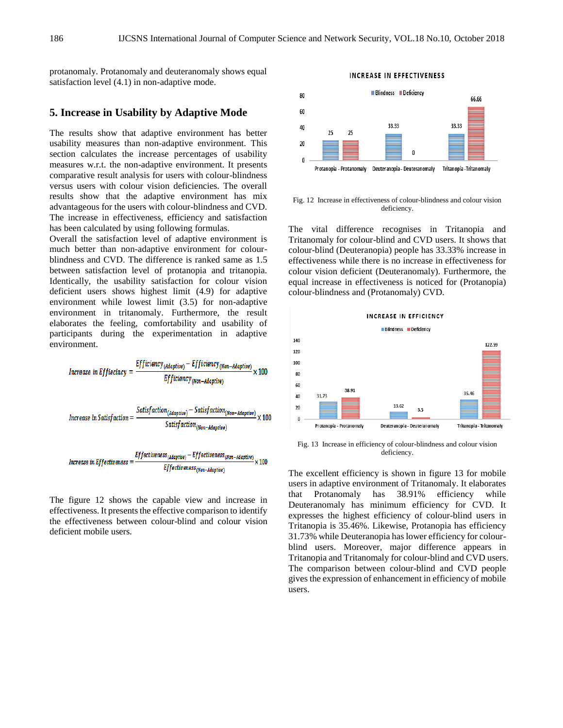protanomaly. Protanomaly and deuteranomaly shows equal satisfaction level (4.1) in non-adaptive mode.

## **5. Increase in Usability by Adaptive Mode**

The results show that adaptive environment has better usability measures than non-adaptive environment. This section calculates the increase percentages of usability measures w.r.t. the non-adaptive environment. It presents comparative result analysis for users with colour-blindness versus users with colour vision deficiencies. The overall results show that the adaptive environment has mix advantageous for the users with colour-blindness and CVD. The increase in effectiveness, efficiency and satisfaction has been calculated by using following formulas.

Overall the satisfaction level of adaptive environment is much better than non-adaptive environment for colourblindness and CVD. The difference is ranked same as 1.5 between satisfaction level of protanopia and tritanopia. Identically, the usability satisfaction for colour vision deficient users shows highest limit (4.9) for adaptive environment while lowest limit (3.5) for non-adaptive environment in tritanomaly. Furthermore, the result elaborates the feeling, comfortability and usability of participants during the experimentation in adaptive environment.

| Increase in Efficiency    | Efficiency | Efficiency                                                                                           | Efficiency |
|---------------------------|------------|------------------------------------------------------------------------------------------------------|------------|
| Intrease in Efficiency    | =          | $\frac{Efficiency_{(Non-Adaptive)}}{Efficiency_{(Non-Adaptive)}}$ \n                                 | 100        |
| Intrease in Satisfaction  | =          | $\frac{Satisfaction_{(Adaptive)} - Satisfaction_{(Non-Adaptive)}}{Satisfaction_{(Non-Adaptive)}}$ \n | 100        |
| Intrease in Effectiveness | =          | $\frac{Effectiveness_{(Non-Adaptive)}}{Effectiveness_{(Non-Adaptive)}}$ \n                           | 100        |

The figure 12 shows the capable view and increase in effectiveness. It presents the effective comparison to identify the effectiveness between colour-blind and colour vision deficient mobile users.



**INCREASE IN EFFECTIVENESS** 

Fig. 12 Increase in effectiveness of colour-blindness and colour vision deficiency.

The vital difference recognises in Tritanopia and Tritanomaly for colour-blind and CVD users. It shows that colour-blind (Deuteranopia) people has 33.33% increase in effectiveness while there is no increase in effectiveness for colour vision deficient (Deuteranomaly). Furthermore, the equal increase in effectiveness is noticed for (Protanopia) colour-blindness and (Protanomaly) CVD.



Fig. 13 Increase in efficiency of colour-blindness and colour vision deficiency.

The excellent efficiency is shown in figure 13 for mobile users in adaptive environment of Tritanomaly. It elaborates that Protanomaly has 38.91% efficiency while Deuteranomaly has minimum efficiency for CVD. It expresses the highest efficiency of colour-blind users in Tritanopia is 35.46%. Likewise, Protanopia has efficiency 31.73% while Deuteranopia has lower efficiency for colourblind users. Moreover, major difference appears in Tritanopia and Tritanomaly for colour-blind and CVD users. The comparison between colour-blind and CVD people gives the expression of enhancement in efficiency of mobile users.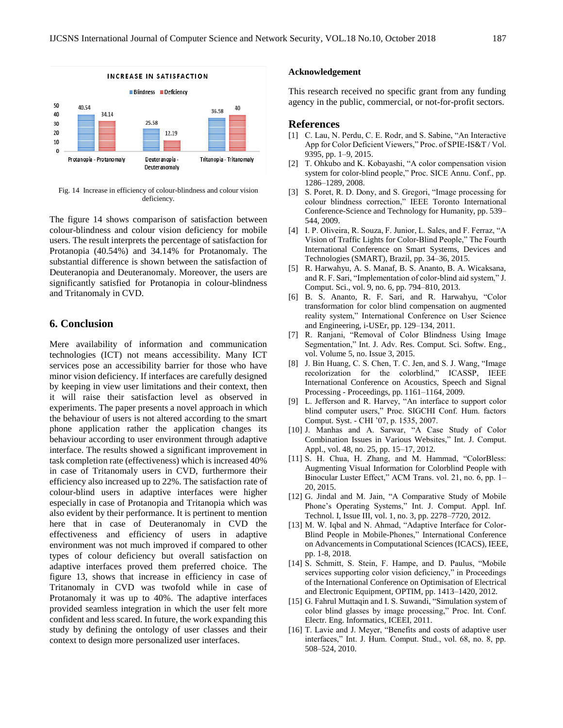

Fig. 14 Increase in efficiency of colour-blindness and colour vision deficiency.

The figure 14 shows comparison of satisfaction between colour-blindness and colour vision deficiency for mobile users. The result interprets the percentage of satisfaction for Protanopia (40.54%) and 34.14% for Protanomaly. The substantial difference is shown between the satisfaction of Deuteranopia and Deuteranomaly. Moreover, the users are significantly satisfied for Protanopia in colour-blindness and Tritanomaly in CVD.

# **6. Conclusion**

Mere availability of information and communication technologies (ICT) not means accessibility. Many ICT services pose an accessibility barrier for those who have minor vision deficiency. If interfaces are carefully designed by keeping in view user limitations and their context, then it will raise their satisfaction level as observed in experiments. The paper presents a novel approach in which the behaviour of users is not altered according to the smart phone application rather the application changes its behaviour according to user environment through adaptive interface. The results showed a significant improvement in task completion rate (effectiveness) which is increased 40% in case of Tritanomaly users in CVD, furthermore their efficiency also increased up to 22%. The satisfaction rate of colour-blind users in adaptive interfaces were higher especially in case of Protanopia and Tritanopia which was also evident by their performance. It is pertinent to mention here that in case of Deuteranomaly in CVD the effectiveness and efficiency of users in adaptive environment was not much improved if compared to other types of colour deficiency but overall satisfaction on adaptive interfaces proved them preferred choice. The figure 13, shows that increase in efficiency in case of Tritanomaly in CVD was twofold while in case of Protanomaly it was up to 40%. The adaptive interfaces provided seamless integration in which the user felt more confident and less scared. In future, the work expanding this study by defining the ontology of user classes and their context to design more personalized user interfaces.

#### **Acknowledgement**

This research received no specific grant from any funding agency in the public, commercial, or not-for-profit sectors.

#### **References**

- [1] C. Lau, N. Perdu, C. E. Rodr, and S. Sabine, "An Interactive App for Color Deficient Viewers," Proc. of SPIE-IS&T / Vol. 9395, pp. 1–9, 2015.
- [2] T. Ohkubo and K. Kobayashi, "A color compensation vision system for color-blind people," Proc. SICE Annu. Conf., pp. 1286–1289, 2008.
- [3] S. Poret, R. D. Dony, and S. Gregori, "Image processing for colour blindness correction," IEEE Toronto International Conference-Science and Technology for Humanity, pp. 539– 544, 2009.
- [4] I. P. Oliveira, R. Souza, F. Junior, L. Sales, and F. Ferraz, "A Vision of Traffic Lights for Color-Blind People," The Fourth International Conference on Smart Systems, Devices and Technologies (SMART), Brazil, pp. 34–36, 2015.
- [5] R. Harwahyu, A. S. Manaf, B. S. Ananto, B. A. Wicaksana, and R. F. Sari, "Implementation of color-blind aid system," J. Comput. Sci., vol. 9, no. 6, pp. 794–810, 2013.
- [6] B. S. Ananto, R. F. Sari, and R. Harwahyu, "Color transformation for color blind compensation on augmented reality system," International Conference on User Science and Engineering, i-USEr, pp. 129–134, 2011.
- [7] R. Ranjani, "Removal of Color Blindness Using Image Segmentation," Int. J. Adv. Res. Comput. Sci. Softw. Eng., vol. Volume 5, no. Issue 3, 2015.
- [8] J. Bin Huang, C. S. Chen, T. C. Jen, and S. J. Wang, "Image recolorization for the colorblind," ICASSP, IEEE International Conference on Acoustics, Speech and Signal Processing - Proceedings, pp. 1161–1164, 2009.
- [9] L. Jefferson and R. Harvey, "An interface to support color blind computer users," Proc. SIGCHI Conf. Hum. factors Comput. Syst. - CHI '07, p. 1535, 2007.
- [10] J. Manhas and A. Sarwar, "A Case Study of Color Combination Issues in Various Websites," Int. J. Comput. Appl., vol. 48, no. 25, pp. 15–17, 2012.
- [11] S. H. Chua, H. Zhang, and M. Hammad, "ColorBless: Augmenting Visual Information for Colorblind People with Binocular Luster Effect," ACM Trans. vol. 21, no. 6, pp. 1– 20, 2015.
- [12] G. Jindal and M. Jain, "A Comparative Study of Mobile Phone's Operating Systems," Int. J. Comput. Appl. Inf. Technol. I, Issue III, vol. 1, no. 3, pp. 2278–7720, 2012.
- [13] M. W. Iqbal and N. Ahmad, "Adaptive Interface for Color-Blind People in Mobile-Phones," International Conference on Advancements in Computational Sciences (ICACS), IEEE, pp. 1-8, 2018.
- [14] S. Schmitt, S. Stein, F. Hampe, and D. Paulus, "Mobile services supporting color vision deficiency," in Proceedings of the International Conference on Optimisation of Electrical and Electronic Equipment, OPTIM, pp. 1413–1420, 2012.
- [15] G. Fahrul Muttaqin and I. S. Suwandi, "Simulation system of color blind glasses by image processing," Proc. Int. Conf. Electr. Eng. Informatics, ICEEI, 2011.
- [16] T. Lavie and J. Meyer, "Benefits and costs of adaptive user interfaces," Int. J. Hum. Comput. Stud., vol. 68, no. 8, pp. 508–524, 2010.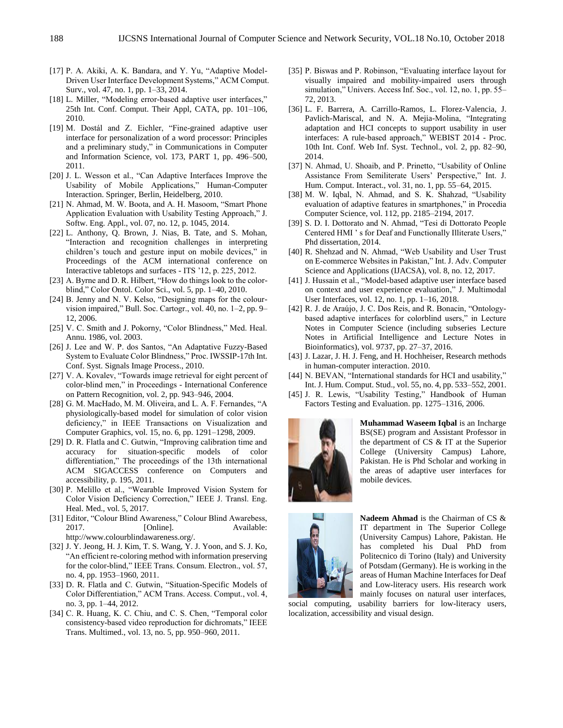- [17] P. A. Akiki, A. K. Bandara, and Y. Yu, "Adaptive Model-Driven User Interface Development Systems," ACM Comput. Surv., vol. 47, no. 1, pp. 1–33, 2014.
- [18] L. Miller, "Modeling error-based adaptive user interfaces," 25th Int. Conf. Comput. Their Appl, CATA, pp. 101–106, 2010.
- [19] M. Dostál and Z. Eichler, "Fine-grained adaptive user interface for personalization of a word processor: Principles and a preliminary study," in Communications in Computer and Information Science, vol. 173, PART 1, pp. 496–500, 2011.
- [20] J. L. Wesson et al., "Can Adaptive Interfaces Improve the Usability of Mobile Applications," Human-Computer Interaction. Springer, Berlin, Heidelberg, 2010.
- [21] N. Ahmad, M. W. Boota, and A. H. Masoom, "Smart Phone Application Evaluation with Usability Testing Approach," J. Softw. Eng. Appl., vol. 07, no. 12, p. 1045, 2014.
- [22] L. Anthony, Q. Brown, J. Nias, B. Tate, and S. Mohan, "Interaction and recognition challenges in interpreting children's touch and gesture input on mobile devices," in Proceedings of the ACM international conference on Interactive tabletops and surfaces - ITS '12, p. 225, 2012.
- [23] A. Byrne and D. R. Hilbert, "How do things look to the colorblind," Color Ontol. Color Sci., vol. 5, pp. 1–40, 2010.
- [24] B. Jenny and N. V. Kelso, "Designing maps for the colourvision impaired," Bull. Soc. Cartogr., vol. 40, no. 1–2, pp. 9– 12, 2006.
- [25] V. C. Smith and J. Pokorny, "Color Blindness," Med. Heal. Annu. 1986, vol. 2003.
- [26] J. Lee and W. P. dos Santos, "An Adaptative Fuzzy-Based System to Evaluate Color Blindness," Proc. IWSSIP-17th Int. Conf. Syst. Signals Image Process., 2010.
- [27] V. A. Kovalev, "Towards image retrieval for eight percent of color-blind men," in Proceedings - International Conference on Pattern Recognition, vol. 2, pp. 943–946, 2004.
- [28] G. M. MacHado, M. M. Oliveira, and L. A. F. Fernandes, "A physiologically-based model for simulation of color vision deficiency," in IEEE Transactions on Visualization and Computer Graphics, vol. 15, no. 6, pp. 1291–1298, 2009.
- [29] D. R. Flatla and C. Gutwin, "Improving calibration time and accuracy for situation-specific models of color differentiation," The proceedings of the 13th international ACM SIGACCESS conference on Computers and accessibility, p. 195, 2011.
- [30] P. Melillo et al., "Wearable Improved Vision System for Color Vision Deficiency Correction," IEEE J. Transl. Eng. Heal. Med., vol. 5, 2017.
- [31] Editor, "Colour Blind Awareness," Colour Blind Awarebess, 2017. [Online]. Available: http://www.colourblindawareness.org/.
- [32] J. Y. Jeong, H. J. Kim, T. S. Wang, Y. J. Yoon, and S. J. Ko, "An efficient re-coloring method with information preserving for the color-blind," IEEE Trans. Consum. Electron., vol. 57, no. 4, pp. 1953–1960, 2011.
- [33] D. R. Flatla and C. Gutwin, "Situation-Specific Models of Color Differentiation," ACM Trans. Access. Comput., vol. 4, no. 3, pp. 1–44, 2012.
- [34] C. R. Huang, K. C. Chiu, and C. S. Chen, "Temporal color consistency-based video reproduction for dichromats," IEEE Trans. Multimed., vol. 13, no. 5, pp. 950–960, 2011.
- [35] P. Biswas and P. Robinson, "Evaluating interface layout for visually impaired and mobility-impaired users through simulation," Univers. Access Inf. Soc., vol. 12, no. 1, pp. 55– 72, 2013.
- [36] L. F. Barrera, A. Carrillo-Ramos, L. Florez-Valencia, J. Pavlich-Mariscal, and N. A. Mejia-Molina, "Integrating adaptation and HCI concepts to support usability in user interfaces: A rule-based approach," WEBIST 2014 - Proc. 10th Int. Conf. Web Inf. Syst. Technol., vol. 2, pp. 82–90, 2014.
- [37] N. Ahmad, U. Shoaib, and P. Prinetto, "Usability of Online Assistance From Semiliterate Users' Perspective," Int. J. Hum. Comput. Interact., vol. 31, no. 1, pp. 55–64, 2015.
- [38] M. W. Iqbal, N. Ahmad, and S. K. Shahzad, "Usability evaluation of adaptive features in smartphones," in Procedia Computer Science, vol. 112, pp. 2185–2194, 2017.
- [39] S. D. I. Dottorato and N. Ahmad, "Tesi di Dottorato People Centered HMI ' s for Deaf and Functionally Illiterate Users," Phd dissertation, 2014.
- [40] R. Shehzad and N. Ahmad, "Web Usability and User Trust on E-commerce Websites in Pakistan," Int. J. Adv. Computer Science and Applications (IJACSA), vol. 8, no. 12, 2017.
- [41] J. Hussain et al., "Model-based adaptive user interface based on context and user experience evaluation," J. Multimodal User Interfaces, vol. 12, no. 1, pp. 1–16, 2018.
- [42] R. J. de Araújo, J. C. Dos Reis, and R. Bonacin, "Ontologybased adaptive interfaces for colorblind users," in Lecture Notes in Computer Science (including subseries Lecture Notes in Artificial Intelligence and Lecture Notes in Bioinformatics), vol. 9737, pp. 27–37, 2016.
- [43] J. Lazar, J. H. J. Feng, and H. Hochheiser, Research methods in human-computer interaction. 2010.
- [44] N. BEVAN, "International standards for HCI and usability," Int. J. Hum. Comput. Stud., vol. 55, no. 4, pp. 533–552, 2001.
- [45] J. R. Lewis, "Usability Testing," Handbook of Human Factors Testing and Evaluation. pp. 1275–1316, 2006.



**Muhammad Waseem Iqbal** is an Incharge BS(SE) program and Assistant Professor in the department of CS & IT at the Superior College (University Campus) Lahore, Pakistan. He is Phd Scholar and working in the areas of adaptive user interfaces for mobile devices.



**Nadeem Ahmad** is the Chairman of CS & IT department in The Superior College (University Campus) Lahore, Pakistan. He has completed his Dual PhD from Politecnico di Torino (Italy) and University of Potsdam (Germany). He is working in the areas of Human Machine Interfaces for Deaf and Low-literacy users. His research work mainly focuses on natural user interfaces,

social computing, usability barriers for low-literacy users, localization, accessibility and visual design.